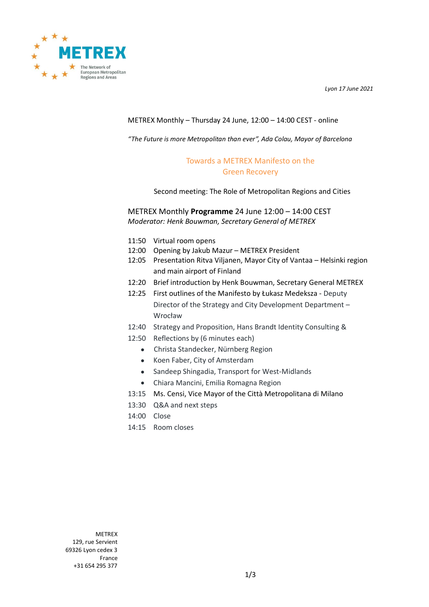*Lyon 17 June 2021*



## METREX Monthly – Thursday 24 June, 12:00 – 14:00 CEST - online

*"The Future is more Metropolitan than ever", Ada Colau, Mayor of Barcelona*

## Towards a METREX Manifesto on the Green Recovery

Second meeting: The Role of Metropolitan Regions and Cities

METREX Monthly **Programme** 24 June 12:00 – 14:00 CEST *Moderator: Henk Bouwman, Secretary General of METREX*

- 11:50 Virtual room opens
- 12:00 Opening by Jakub Mazur METREX President
- 12:05 Presentation Ritva Viljanen, Mayor City of Vantaa Helsinki region and main airport of Finland
- 12:20 Brief introduction by Henk Bouwman, Secretary General METREX
- 12:25 First outlines of the Manifesto by Łukasz Medeksza Deputy Director of the Strategy and City Development Department – Wrocław
- 12:40 Strategy and Proposition, Hans Brandt Identity Consulting &
- 12:50 Reflections by (6 minutes each)
	- Christa Standecker, Nürnberg Region
	- Koen Faber, City of Amsterdam
	- Sandeep Shingadia, Transport for West-Midlands
	- Chiara Mancini, Emilia Romagna Region
- 13:15 Ms. Censi, Vice Mayor of the Città Metropolitana di Milano
- 13:30 Q&A and next steps
- 14:00 Close
- 14:15 Room closes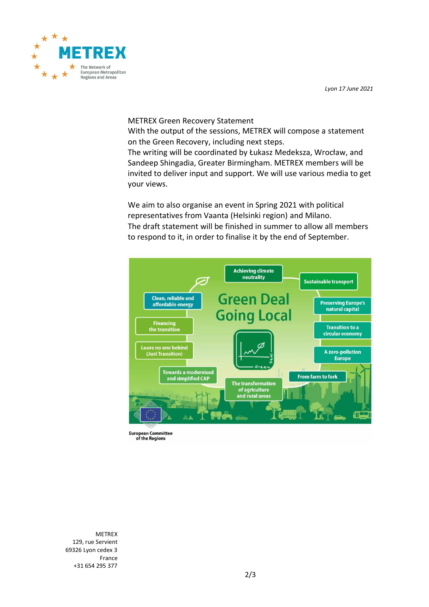



## METREX Green Recovery Statement

With the output of the sessions, METREX will compose a statement on the Green Recovery, including next steps.

The writing will be coordinated by Łukasz Medeksza, Wrocław, and Sandeep Shingadia, Greater Birmingham. METREX members will be invited to deliver input and support. We will use various media to get your views.

We aim to also organise an event in Spring 2021 with political representatives from Vaanta (Helsinki region) and Milano. The draft statement will be finished in summer to allow all members to respond to it, in order to finalise it by the end of September.



**European Committee** of the Regions

METREX 129, rue Servient 69326 Lyon cedex 3 France +31 654 295 377